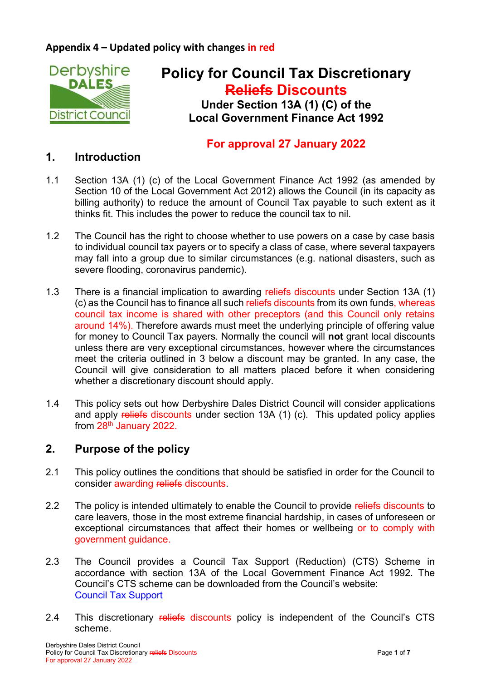### **Appendix 4 – Updated policy with changes in red**



# **Policy for Council Tax Discretionary Reliefs Discounts Under Section 13A (1) (C) of the Local Government Finance Act 1992**

# **For approval 27 January 2022**

#### **1. Introduction**

- 1.1 Section 13A (1) (c) of the Local Government Finance Act 1992 (as amended by Section 10 of the Local Government Act 2012) allows the Council (in its capacity as billing authority) to reduce the amount of Council Tax payable to such extent as it thinks fit. This includes the power to reduce the council tax to nil.
- 1.2 The Council has the right to choose whether to use powers on a case by case basis to individual council tax payers or to specify a class of case, where several taxpayers may fall into a group due to similar circumstances (e.g. national disasters, such as severe flooding, coronavirus pandemic).
- 1.3 There is a financial implication to awarding reliefs discounts under Section 13A (1) (c) as the Council has to finance all such reliefs discounts from its own funds, whereas council tax income is shared with other preceptors (and this Council only retains around 14%). Therefore awards must meet the underlying principle of offering value for money to Council Tax payers. Normally the council will **not** grant local discounts unless there are very exceptional circumstances, however where the circumstances meet the criteria outlined in 3 below a discount may be granted. In any case, the Council will give consideration to all matters placed before it when considering whether a discretionary discount should apply.
- 1.4 This policy sets out how Derbyshire Dales District Council will consider applications and apply reliefs discounts under section 13A (1) (c). This updated policy applies from 28th January 2022.

# **2. Purpose of the policy**

- 2.1 This policy outlines the conditions that should be satisfied in order for the Council to consider awarding reliefs discounts.
- 2.2 The policy is intended ultimately to enable the Council to provide reliefs discounts to care leavers, those in the most extreme financial hardship, in cases of unforeseen or exceptional circumstances that affect their homes or wellbeing or to comply with government guidance.
- 2.3 The Council provides a Council Tax Support (Reduction) (CTS) Scheme in accordance with section 13A of the Local Government Finance Act 1992. The Council's CTS scheme can be downloaded from the Council's website: [Council Tax Support](http://www.derbyshiredales.gov.uk/housing-a-council-tax/benefits/council-tax-support)
- 2.4 This discretionary reliefs discounts policy is independent of the Council's CTS scheme.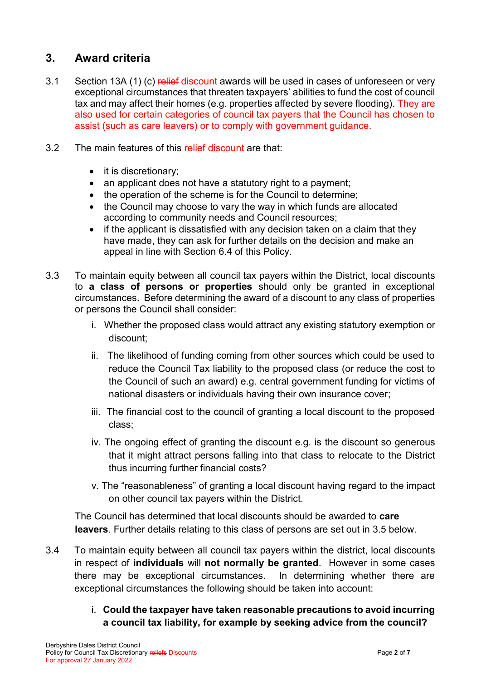# **3. Award criteria**

- 3.1 Section 13A (1) (c) relief discount awards will be used in cases of unforeseen or very exceptional circumstances that threaten taxpayers' abilities to fund the cost of council tax and may affect their homes (e.g. properties affected by severe flooding). They are also used for certain categories of council tax payers that the Council has chosen to assist (such as care leavers) or to comply with government guidance.
- 3.2 The main features of this relief discount are that:
	- it is discretionary;
	- an applicant does not have a statutory right to a payment;
	- the operation of the scheme is for the Council to determine;
	- the Council may choose to vary the way in which funds are allocated according to community needs and Council resources;
	- $\bullet$  if the applicant is dissatisfied with any decision taken on a claim that they have made, they can ask for further details on the decision and make an appeal in line with Section 6.4 of this Policy.
- 3.3 To maintain equity between all council tax payers within the District, local discounts to **a class of persons or properties** should only be granted in exceptional circumstances. Before determining the award of a discount to any class of properties or persons the Council shall consider:
	- i. Whether the proposed class would attract any existing statutory exemption or discount;
	- ii. The likelihood of funding coming from other sources which could be used to reduce the Council Tax liability to the proposed class (or reduce the cost to the Council of such an award) e.g. central government funding for victims of national disasters or individuals having their own insurance cover;
	- iii. The financial cost to the council of granting a local discount to the proposed class;
	- iv. The ongoing effect of granting the discount e.g. is the discount so generous that it might attract persons falling into that class to relocate to the District thus incurring further financial costs?
	- v. The "reasonableness" of granting a local discount having regard to the impact on other council tax payers within the District.

The Council has determined that local discounts should be awarded to **care leavers**. Further details relating to this class of persons are set out in 3.5 below.

- 3.4 To maintain equity between all council tax payers within the district, local discounts in respect of **individuals** will **not normally be granted**. However in some cases there may be exceptional circumstances. In determining whether there are exceptional circumstances the following should be taken into account:
	- i. **Could the taxpayer have taken reasonable precautions to avoid incurring a council tax liability, for example by seeking advice from the council?**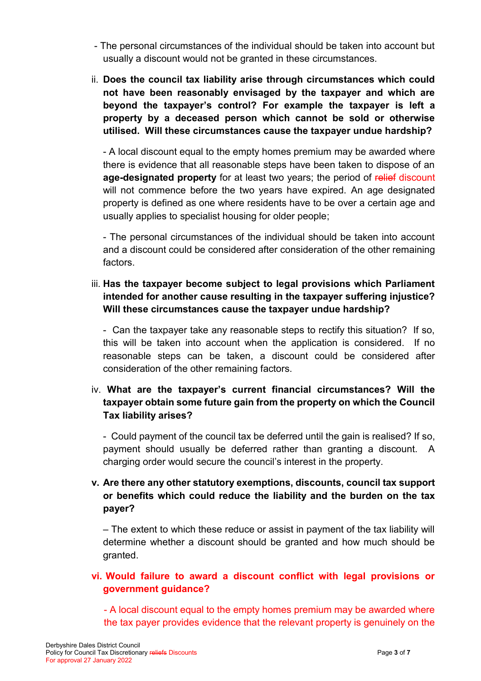- The personal circumstances of the individual should be taken into account but usually a discount would not be granted in these circumstances.
- ii. **Does the council tax liability arise through circumstances which could not have been reasonably envisaged by the taxpayer and which are beyond the taxpayer's control? For example the taxpayer is left a property by a deceased person which cannot be sold or otherwise utilised. Will these circumstances cause the taxpayer undue hardship?**

- A local discount equal to the empty homes premium may be awarded where there is evidence that all reasonable steps have been taken to dispose of an **age-designated property** for at least two years; the period of relief discount will not commence before the two years have expired. An age designated property is defined as one where residents have to be over a certain age and usually applies to specialist housing for older people;

- The personal circumstances of the individual should be taken into account and a discount could be considered after consideration of the other remaining factors.

iii. **Has the taxpayer become subject to legal provisions which Parliament intended for another cause resulting in the taxpayer suffering injustice? Will these circumstances cause the taxpayer undue hardship?** 

- Can the taxpayer take any reasonable steps to rectify this situation? If so, this will be taken into account when the application is considered. If no reasonable steps can be taken, a discount could be considered after consideration of the other remaining factors.

#### iv. **What are the taxpayer's current financial circumstances? Will the taxpayer obtain some future gain from the property on which the Council Tax liability arises?**

- Could payment of the council tax be deferred until the gain is realised? If so, payment should usually be deferred rather than granting a discount. A charging order would secure the council's interest in the property.

#### **v. Are there any other statutory exemptions, discounts, council tax support or benefits which could reduce the liability and the burden on the tax payer?**

– The extent to which these reduce or assist in payment of the tax liability will determine whether a discount should be granted and how much should be granted.

### **vi. Would failure to award a discount conflict with legal provisions or government guidance?**

- A local discount equal to the empty homes premium may be awarded where the tax payer provides evidence that the relevant property is genuinely on the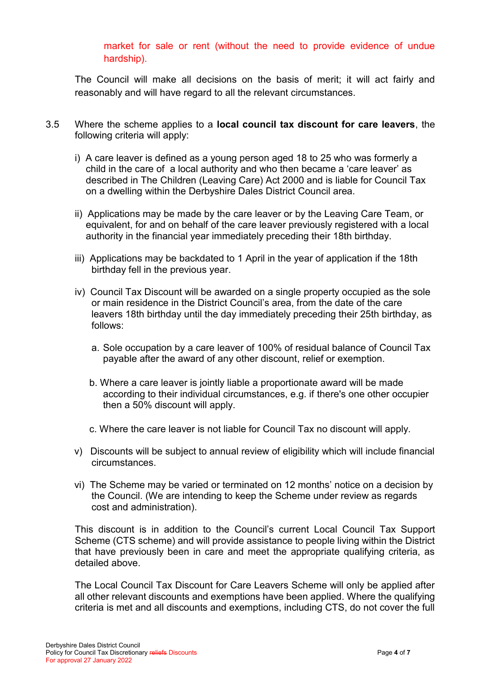market for sale or rent (without the need to provide evidence of undue hardship).

The Council will make all decisions on the basis of merit; it will act fairly and reasonably and will have regard to all the relevant circumstances.

- 3.5 Where the scheme applies to a **local council tax discount for care leavers**, the following criteria will apply:
	- i) A care leaver is defined as a young person aged 18 to 25 who was formerly a child in the care of a local authority and who then became a 'care leaver' as described in The Children (Leaving Care) Act 2000 and is liable for Council Tax on a dwelling within the Derbyshire Dales District Council area.
	- ii) Applications may be made by the care leaver or by the Leaving Care Team, or equivalent, for and on behalf of the care leaver previously registered with a local authority in the financial year immediately preceding their 18th birthday.
	- iii) Applications may be backdated to 1 April in the year of application if the 18th birthday fell in the previous year.
	- iv) Council Tax Discount will be awarded on a single property occupied as the sole or main residence in the District Council's area, from the date of the care leavers 18th birthday until the day immediately preceding their 25th birthday, as follows:
		- a. Sole occupation by a care leaver of 100% of residual balance of Council Tax payable after the award of any other discount, relief or exemption.
		- b. Where a care leaver is jointly liable a proportionate award will be made according to their individual circumstances, e.g. if there's one other occupier then a 50% discount will apply.
		- c. Where the care leaver is not liable for Council Tax no discount will apply.
	- v) Discounts will be subject to annual review of eligibility which will include financial circumstances.
	- vi) The Scheme may be varied or terminated on 12 months' notice on a decision by the Council. (We are intending to keep the Scheme under review as regards cost and administration).

This discount is in addition to the Council's current Local Council Tax Support Scheme (CTS scheme) and will provide assistance to people living within the District that have previously been in care and meet the appropriate qualifying criteria, as detailed above.

The Local Council Tax Discount for Care Leavers Scheme will only be applied after all other relevant discounts and exemptions have been applied. Where the qualifying criteria is met and all discounts and exemptions, including CTS, do not cover the full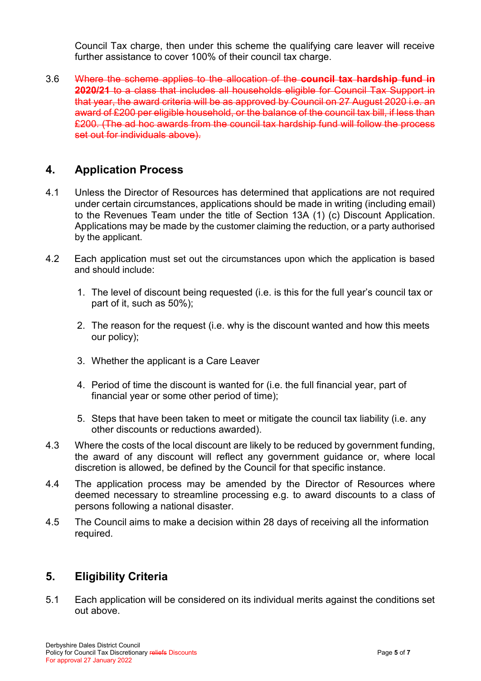Council Tax charge, then under this scheme the qualifying care leaver will receive further assistance to cover 100% of their council tax charge.

3.6 Where the scheme applies to the allocation of the **council tax hardship fund in 2020/21** to a class that includes all households eligible for Council Tax Support in that year, the award criteria will be as approved by Council on 27 August 2020 i.e. an award of £200 per eligible household, or the balance of the council tax bill, if less than £200. (The ad hoc awards from the council tax hardship fund will follow the process set out for individuals above).

# **4. Application Process**

- 4.1 Unless the Director of Resources has determined that applications are not required under certain circumstances, applications should be made in writing (including email) to the Revenues Team under the title of Section 13A (1) (c) Discount Application. Applications may be made by the customer claiming the reduction, or a party authorised by the applicant.
- 4.2 Each application must set out the circumstances upon which the application is based and should include:
	- 1. The level of discount being requested (i.e. is this for the full year's council tax or part of it, such as 50%);
	- 2. The reason for the request (i.e. why is the discount wanted and how this meets our policy);
	- 3. Whether the applicant is a Care Leaver
	- 4. Period of time the discount is wanted for (i.e. the full financial year, part of financial year or some other period of time);
	- 5. Steps that have been taken to meet or mitigate the council tax liability (i.e. any other discounts or reductions awarded).
- 4.3 Where the costs of the local discount are likely to be reduced by government funding, the award of any discount will reflect any government guidance or, where local discretion is allowed, be defined by the Council for that specific instance.
- 4.4 The application process may be amended by the Director of Resources where deemed necessary to streamline processing e.g. to award discounts to a class of persons following a national disaster.
- 4.5 The Council aims to make a decision within 28 days of receiving all the information required.

# **5. Eligibility Criteria**

5.1 Each application will be considered on its individual merits against the conditions set out above.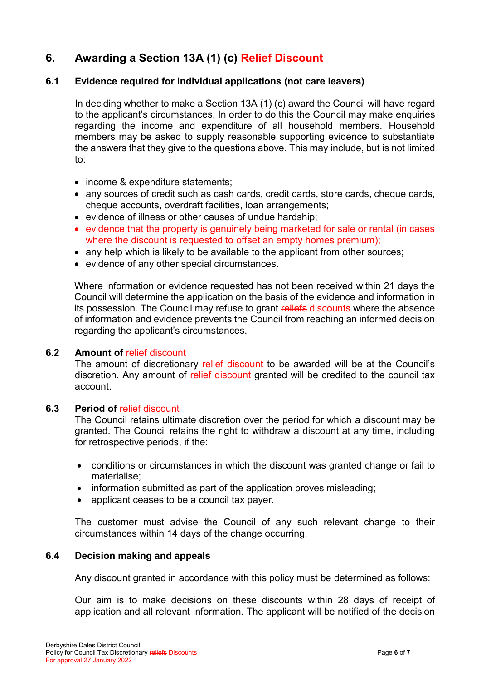# **6. Awarding a Section 13A (1) (c) Relief Discount**

#### **6.1 Evidence required for individual applications (not care leavers)**

In deciding whether to make a Section 13A (1) (c) award the Council will have regard to the applicant's circumstances. In order to do this the Council may make enquiries regarding the income and expenditure of all household members. Household members may be asked to supply reasonable supporting evidence to substantiate the answers that they give to the questions above. This may include, but is not limited to:

- income & expenditure statements;
- any sources of credit such as cash cards, credit cards, store cards, cheque cards, cheque accounts, overdraft facilities, loan arrangements;
- evidence of illness or other causes of undue hardship:
- evidence that the property is genuinely being marketed for sale or rental (in cases where the discount is requested to offset an empty homes premium):
- any help which is likely to be available to the applicant from other sources;
- evidence of any other special circumstances.

Where information or evidence requested has not been received within 21 days the Council will determine the application on the basis of the evidence and information in its possession. The Council may refuse to grant reliefs discounts where the absence of information and evidence prevents the Council from reaching an informed decision regarding the applicant's circumstances.

#### **6.2 Amount of** relief discount

The amount of discretionary relief discount to be awarded will be at the Council's discretion. Any amount of relief discount granted will be credited to the council tax account.

#### **6.3** Period of **relief** discount

The Council retains ultimate discretion over the period for which a discount may be granted. The Council retains the right to withdraw a discount at any time, including for retrospective periods, if the:

- conditions or circumstances in which the discount was granted change or fail to materialise;
- information submitted as part of the application proves misleading;
- applicant ceases to be a council tax payer.

The customer must advise the Council of any such relevant change to their circumstances within 14 days of the change occurring.

#### **6.4 Decision making and appeals**

Any discount granted in accordance with this policy must be determined as follows:

Our aim is to make decisions on these discounts within 28 days of receipt of application and all relevant information. The applicant will be notified of the decision